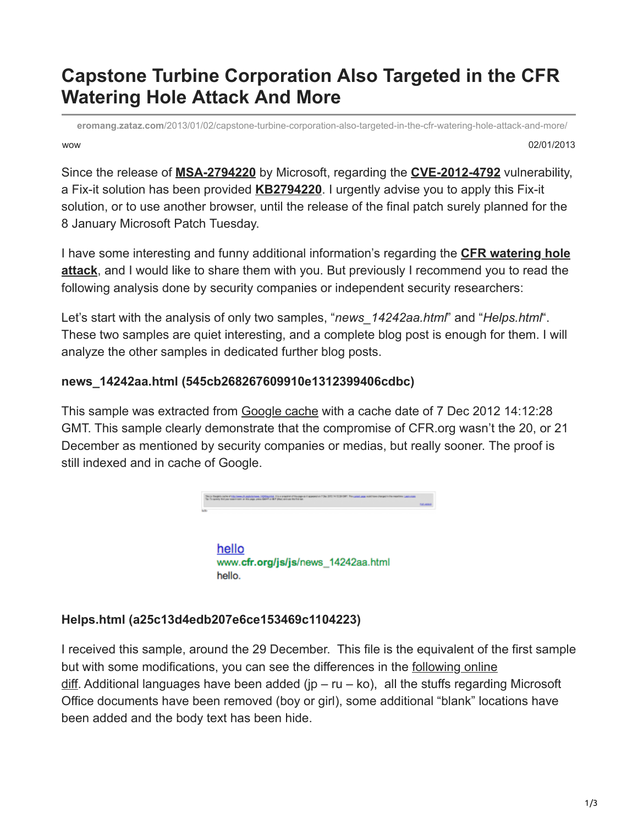## **Capstone Turbine Corporation Also Targeted in the CFR Watering Hole Attack And More**

wow 02/01/2013 **eromang.zataz.com**[/2013/01/02/capstone-turbine-corporation-also-targeted-in-the-cfr-watering-hole-attack-and-more/](https://eromang.zataz.com/2013/01/02/capstone-turbine-corporation-also-targeted-in-the-cfr-watering-hole-attack-and-more/)

Since the release of **[MSA-2794220](https://eromang.zataz.com/2012/12/30/microsoft-release-security-advisory-msa-2794220-for-cfe-internet-explorer-0day/)** by Microsoft, regarding the **[CVE-2012-4792](https://eromang.zataz.com/2012/12/30/microsoft-internet-explorer-cdwnbindinfo-vulnerability-metasploit-demo/)** vulnerability, a Fix-it solution has been provided **[KB2794220](https://support.microsoft.com/kb/2794220)**. I urgently advise you to apply this Fix-it solution, or to use another browser, until the release of the final patch surely planned for the 8 January Microsoft Patch Tuesday.

I have some interesting and funny additional information's regarding the **CFR watering hole attack**[, and I would like to share them with you. But previously I recommend you to read the](https://eromang.zataz.com/2012/12/29/attack-and-ie-0day-informations-used-against-council-on-foreign-relations/) following analysis done by security companies or independent security researchers:

Let's start with the analysis of only two samples, "*news* 14242aa.html" and "*Helps.html*". These two samples are quiet interesting, and a complete blog post is enough for them. I will analyze the other samples in dedicated further blog posts.

## **news\_14242aa.html (545cb268267609910e1312399406cdbc)**

This sample was extracted from [Google cache](https://www.google.com/search?hl=en&source=hp&q=site:cfr.org&btnG=Recherche+Google&meta=&aq=f&aqi=&aql=&oq=&gs_rfai=#q=site:cfr.org+news_14242aa.html&hl=en&safe=off&tbo=d&tbas=0&source=lnt&sa=X&psj=1&ei=Xc3eUOnSPMfR4QT8toCoBg&ved=0CBgQpwUoAA&fp=1&bpcl=40096503&biw=1376&bih=739&cad=b&sei=kxzgUL-oE8rb4QSoxYHYDA&bav=on.2,or.r_gc.r_pw.r_cp.r_qf.&sei=UG3jUNPBO6Ta4QSlh4DQBA) with a cache date of 7 Dec 2012 14:12:28 GMT. This sample clearly demonstrate that the compromise of CFR.org wasn't the 20, or 21 December as mentioned by security companies or medias, but really sooner. The proof is still indexed and in cache of Google.



## **Helps.html (a25c13d4edb207e6ce153469c1104223)**

hello.

I received this sample, around the 29 December. This file is the equivalent of the first sample [but with some modifications, you can see the differences in the following online](http://www.mergely.com/LhBeQNMQ/) diff. Additional languages have been added ( $ip - ru - ko$ ), all the stuffs regarding Microsoft Office documents have been removed (boy or girl), some additional "blank" locations have been added and the body text has been hide.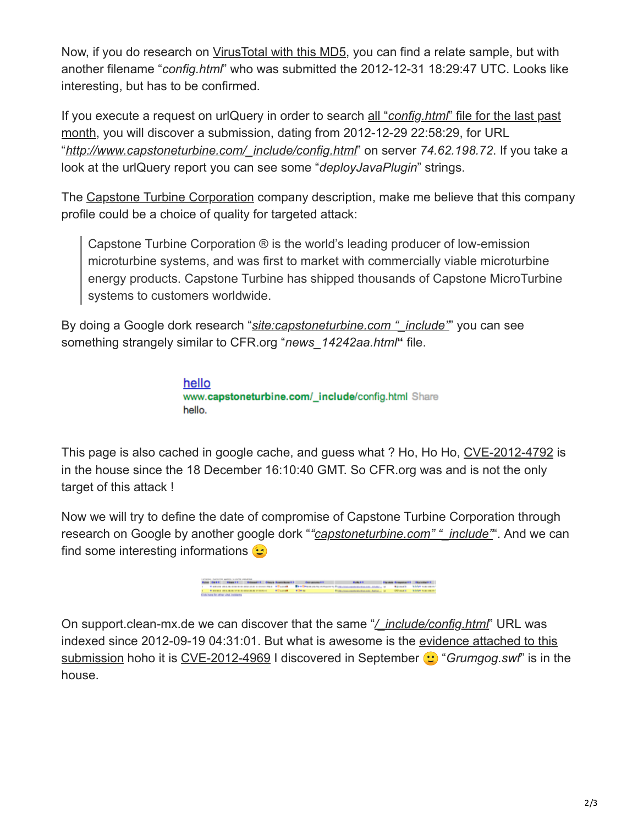Now, if you do research on [VirusTotal with this MD5](https://www.virustotal.com/file/e2a61961f96ae2079d38d1c4cfb6703b28f233b2a25b20951376186b8c277e94/analysis/), you can find a relate sample, but with another filename "*config.html*" who was submitted the 2012-12-31 18:29:47 UTC. Looks like interesting, but has to be confirmed.

If you execute a request on urlQuery in order to search all "*config.html*" file for the last past [month, you will discover a submission, dating from 2012-12-29 22:58:29, for URL](https://urlquery.net/search.php?q=config.html&type=string&start=2012-12-01&end=2013-01-01&max=50) "*[http://www.capstoneturbine.com/\\_include/config.html](https://urlquery.net/report.php?id=551220)*" on server *74.62.198.72*. If you take a look at the urlQuery report you can see some "*deployJavaPlugin*" strings.

The [Capstone Turbine Corporation](http://www.capstoneturbine.com/company/) company description, make me believe that this company profile could be a choice of quality for targeted attack:

Capstone Turbine Corporation ® is the world's leading producer of low-emission microturbine systems, and was first to market with commercially viable microturbine energy products. Capstone Turbine has shipped thousands of Capstone MicroTurbine systems to customers worldwide.

By doing a Google dork research "*[site:capstoneturbine.com "\\_include"](https://www.google.lu/webhp?sourceid=chrome-instant&ion=1&ie=UTF-8#hl=en&safe=off&tbo=d&sclient=psy-ab&q=site:capstoneturbine.com+%22_include%22&oq=site:capstoneturbine.com+%22_include%22&gs_l=hp.3...254718.261820.0.261928.20.18.1.0.0.0.363.3123.0j14j2j1.17.0.les%3B..0.0...1c.1.BxgBVk8rSRk&pbx=1&bav=on.2,or.r_gc.r_pw.r_cp.r_qf.&bvm=bv.1355534169,d.Yms&fp=a256d4f28226d313&bpcl=40096503&ion=1&biw=1050&bih=783)*" you can see something strangely similar to CFR.org "*news\_14242aa.html***"** file.

> hello www.capstoneturbine.com/\_include/config.html Share hello.

This page is also cached in google cache, and guess what ? Ho, Ho Ho, [CVE-2012-4792](https://pastebin.com/q02MFhwF) is in the house since the 18 December 16:10:40 GMT. So CFR.org was and is not the only target of this attack !

Now we will try to define the date of compromise of Capstone Turbine Corporation through research on Google by another google dork "*"capstoneturbine.com"* "*include*". And we can find some interesting informations  $\mathbf{\odot}$ 

іншатті більш банкіншатті — большинатті — больш банкіншатті<br>каптанатты — більшів — Біткіншатті, банкіншатті, банкіншатті, банкіншатті, банкіншатті, банкіншатті, банкінша<br>каптанатті — бійшашы — бібіткі

On support.clean-mx.de we can discover that the same "*[/\\_include/config.html](http://support.clean-mx.de/clean-mx/viruses.php?id=2251432)*" URL was [indexed since 2012-09-19 04:31:01. But what is awesome is the evidence attached to this](http://support.clean-mx.de/clean-mx/view_evidence?id=2251432&table=viruses) submission hoho it is [CVE-2012-4969](https://eromang.zataz.com/2012/09/17/microsoft-internet-explorer-execcommand-vulnerability-metasploit-demo/) I discovered in September  $\bullet$  "*Grumgog.swf*" is in the house.